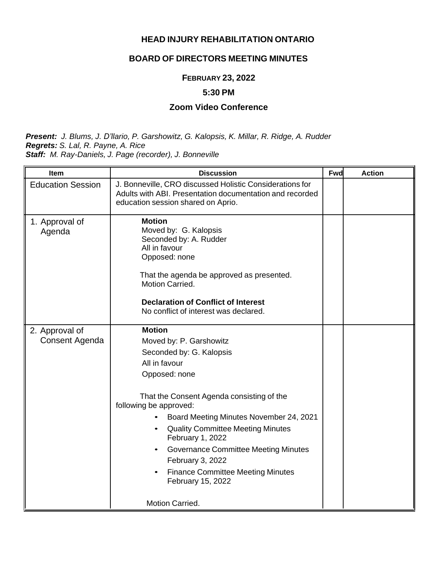## **HEAD INJURY REHABILITATION ONTARIO**

# **BOARD OF DIRECTORS MEETING MINUTES**

### **FEBRUARY 23, 2022**

#### **5:30 PM**

#### **Zoom Video Conference**

*Present: J. Blums, J. D'llario, P. Garshowitz, G. Kalopsis, K. Millar, R. Ridge, A. Rudder Regrets: S. Lal, R. Payne, A. Rice Staff: M. Ray-Daniels, J. Page (recorder), J. Bonneville*

| Item                                    | <b>Discussion</b>                                                                                                                                                                                                                                                                                                                                                                                                                               | Fwd | <b>Action</b> |
|-----------------------------------------|-------------------------------------------------------------------------------------------------------------------------------------------------------------------------------------------------------------------------------------------------------------------------------------------------------------------------------------------------------------------------------------------------------------------------------------------------|-----|---------------|
| <b>Education Session</b>                | J. Bonneville, CRO discussed Holistic Considerations for<br>Adults with ABI. Presentation documentation and recorded<br>education session shared on Aprio.                                                                                                                                                                                                                                                                                      |     |               |
| 1. Approval of<br>Agenda                | <b>Motion</b><br>Moved by: G. Kalopsis<br>Seconded by: A. Rudder<br>All in favour<br>Opposed: none<br>That the agenda be approved as presented.<br>Motion Carried.<br><b>Declaration of Conflict of Interest</b><br>No conflict of interest was declared.                                                                                                                                                                                       |     |               |
| 2. Approval of<br><b>Consent Agenda</b> | <b>Motion</b><br>Moved by: P. Garshowitz<br>Seconded by: G. Kalopsis<br>All in favour<br>Opposed: none<br>That the Consent Agenda consisting of the<br>following be approved:<br>Board Meeting Minutes November 24, 2021<br><b>Quality Committee Meeting Minutes</b><br>$\bullet$<br>February 1, 2022<br>Governance Committee Meeting Minutes<br>$\bullet$<br>February 3, 2022<br><b>Finance Committee Meeting Minutes</b><br>February 15, 2022 |     |               |
|                                         | Motion Carried.                                                                                                                                                                                                                                                                                                                                                                                                                                 |     |               |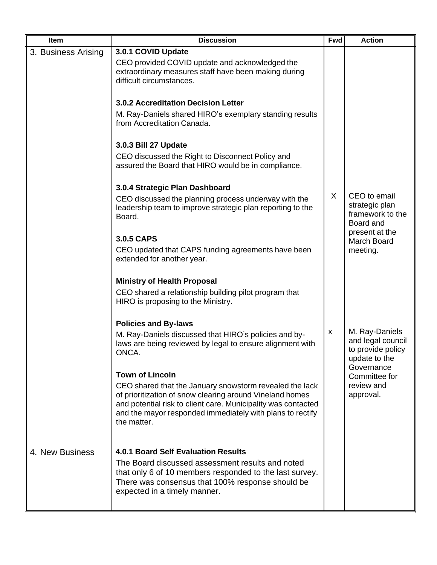| Item                | <b>Discussion</b>                                                                                                                                                                                                                                                | <b>Fwd</b> | <b>Action</b>                                                                           |
|---------------------|------------------------------------------------------------------------------------------------------------------------------------------------------------------------------------------------------------------------------------------------------------------|------------|-----------------------------------------------------------------------------------------|
| 3. Business Arising | 3.0.1 COVID Update<br>CEO provided COVID update and acknowledged the<br>extraordinary measures staff have been making during<br>difficult circumstances.                                                                                                         |            |                                                                                         |
|                     | <b>3.0.2 Accreditation Decision Letter</b>                                                                                                                                                                                                                       |            |                                                                                         |
|                     | M. Ray-Daniels shared HIRO's exemplary standing results<br>from Accreditation Canada.                                                                                                                                                                            |            |                                                                                         |
|                     | 3.0.3 Bill 27 Update                                                                                                                                                                                                                                             |            |                                                                                         |
|                     | CEO discussed the Right to Disconnect Policy and<br>assured the Board that HIRO would be in compliance.                                                                                                                                                          |            |                                                                                         |
|                     | 3.0.4 Strategic Plan Dashboard                                                                                                                                                                                                                                   |            |                                                                                         |
|                     | CEO discussed the planning process underway with the<br>leadership team to improve strategic plan reporting to the<br>Board.                                                                                                                                     | X.         | CEO to email<br>strategic plan<br>framework to the<br>Board and                         |
|                     | <b>3.0.5 CAPS</b>                                                                                                                                                                                                                                                |            | present at the                                                                          |
|                     | CEO updated that CAPS funding agreements have been<br>extended for another year.                                                                                                                                                                                 |            | <b>March Board</b><br>meeting.                                                          |
|                     | <b>Ministry of Health Proposal</b>                                                                                                                                                                                                                               |            |                                                                                         |
|                     | CEO shared a relationship building pilot program that<br>HIRO is proposing to the Ministry.                                                                                                                                                                      |            |                                                                                         |
|                     | <b>Policies and By-laws</b>                                                                                                                                                                                                                                      |            |                                                                                         |
|                     | M. Ray-Daniels discussed that HIRO's policies and by-<br>laws are being reviewed by legal to ensure alignment with<br>ONCA.                                                                                                                                      | X          | M. Ray-Daniels<br>and legal council<br>to provide policy<br>update to the<br>Governance |
|                     | <b>Town of Lincoln</b>                                                                                                                                                                                                                                           |            | Committee for                                                                           |
|                     | CEO shared that the January snowstorm revealed the lack<br>of prioritization of snow clearing around Vineland homes<br>and potential risk to client care. Municipality was contacted<br>and the mayor responded immediately with plans to rectify<br>the matter. |            | review and<br>approval.                                                                 |
|                     |                                                                                                                                                                                                                                                                  |            |                                                                                         |
| 4. New Business     | <b>4.0.1 Board Self Evaluation Results</b><br>The Board discussed assessment results and noted<br>that only 6 of 10 members responded to the last survey.<br>There was consensus that 100% response should be<br>expected in a timely manner.                    |            |                                                                                         |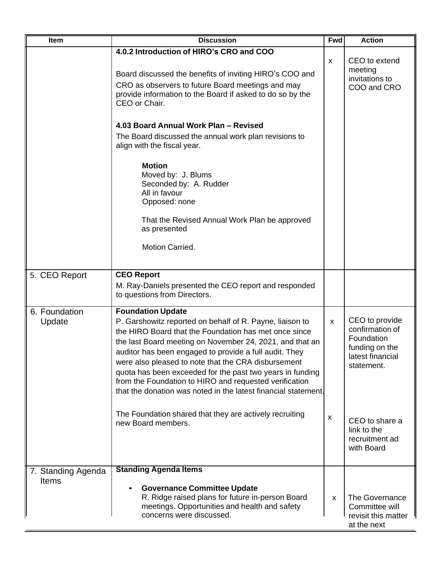| Item                               | <b>Discussion</b>                                                                                                                                                                                                                                                                                                                                                                                                                                                                                                   | <b>Fwd</b>   | <b>Action</b>                                                                                       |
|------------------------------------|---------------------------------------------------------------------------------------------------------------------------------------------------------------------------------------------------------------------------------------------------------------------------------------------------------------------------------------------------------------------------------------------------------------------------------------------------------------------------------------------------------------------|--------------|-----------------------------------------------------------------------------------------------------|
|                                    | 4.0.2 Introduction of HIRO's CRO and COO<br>Board discussed the benefits of inviting HIRO's COO and<br>CRO as observers to future Board meetings and may<br>provide information to the Board if asked to do so by the<br>CEO or Chair.                                                                                                                                                                                                                                                                              | X            | CEO to extend<br>meeting<br>invitations to<br>COO and CRO                                           |
|                                    | 4.03 Board Annual Work Plan - Revised<br>The Board discussed the annual work plan revisions to<br>align with the fiscal year.<br><b>Motion</b><br>Moved by: J. Blums<br>Seconded by: A. Rudder<br>All in favour<br>Opposed: none<br>That the Revised Annual Work Plan be approved<br>as presented<br>Motion Carried.                                                                                                                                                                                                |              |                                                                                                     |
| 5. CEO Report                      | <b>CEO Report</b><br>M. Ray-Daniels presented the CEO report and responded<br>to questions from Directors.                                                                                                                                                                                                                                                                                                                                                                                                          |              |                                                                                                     |
| 6. Foundation<br>Update            | <b>Foundation Update</b><br>P. Garshowitz reported on behalf of R. Payne, liaison to<br>the HIRO Board that the Foundation has met once since<br>the last Board meeting on November 24, 2021, and that an<br>auditor has been engaged to provide a full audit. They<br>were also pleased to note that the CRA disbursement<br>quota has been exceeded for the past two years in funding<br>from the Foundation to HIRO and requested verification<br>that the donation was noted in the latest financial statement. | X            | CEO to provide<br>confirmation of<br>Foundation<br>funding on the<br>latest financial<br>statement. |
|                                    | The Foundation shared that they are actively recruiting<br>new Board members.                                                                                                                                                                                                                                                                                                                                                                                                                                       | X            | CEO to share a<br>link to the<br>recruitment ad<br>with Board                                       |
| 7. Standing Agenda<br><b>Items</b> | <b>Standing Agenda Items</b><br><b>Governance Committee Update</b><br>R. Ridge raised plans for future in-person Board<br>meetings. Opportunities and health and safety<br>concerns were discussed.                                                                                                                                                                                                                                                                                                                 | $\mathsf{x}$ | The Governance<br>Committee will<br>revisit this matter<br>at the next                              |